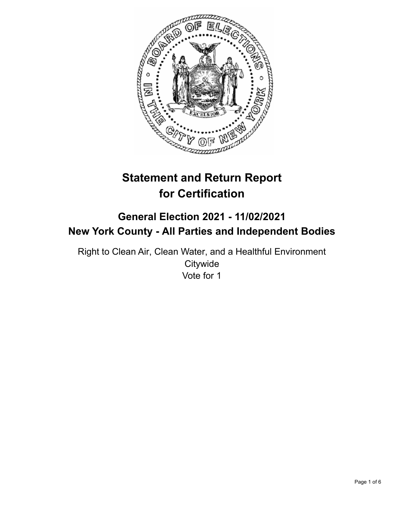

# **Statement and Return Report for Certification**

## **General Election 2021 - 11/02/2021 New York County - All Parties and Independent Bodies**

Right to Clean Air, Clean Water, and a Healthful Environment **Citywide** Vote for 1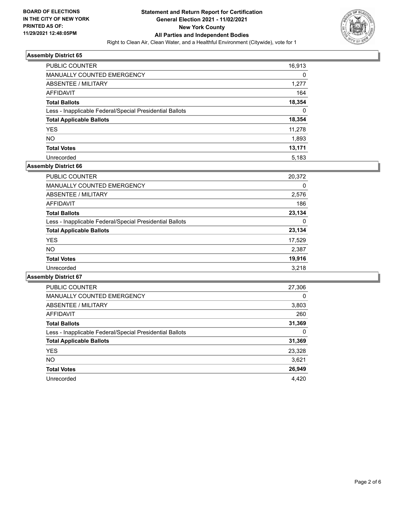

| <b>PUBLIC COUNTER</b>                                    | 16,913 |
|----------------------------------------------------------|--------|
| <b>MANUALLY COUNTED EMERGENCY</b>                        | 0      |
| ABSENTEE / MILITARY                                      | 1,277  |
| AFFIDAVIT                                                | 164    |
| <b>Total Ballots</b>                                     | 18,354 |
| Less - Inapplicable Federal/Special Presidential Ballots | 0      |
| <b>Total Applicable Ballots</b>                          | 18,354 |
| <b>YES</b>                                               | 11.278 |
| <b>NO</b>                                                | 1,893  |
| <b>Total Votes</b>                                       | 13,171 |
| Unrecorded                                               | 5.183  |

## **Assembly District 66**

| <b>PUBLIC COUNTER</b>                                    | 20,372 |
|----------------------------------------------------------|--------|
| <b>MANUALLY COUNTED EMERGENCY</b>                        | 0      |
| ABSENTEE / MILITARY                                      | 2,576  |
| AFFIDAVIT                                                | 186    |
| <b>Total Ballots</b>                                     | 23.134 |
| Less - Inapplicable Federal/Special Presidential Ballots | 0      |
| <b>Total Applicable Ballots</b>                          | 23,134 |
| <b>YES</b>                                               | 17,529 |
| NO.                                                      | 2,387  |
| <b>Total Votes</b>                                       | 19,916 |
| Unrecorded                                               | 3.218  |

| PUBLIC COUNTER                                           | 27,306   |
|----------------------------------------------------------|----------|
| <b>MANUALLY COUNTED EMERGENCY</b>                        | $\Omega$ |
| ABSENTEE / MILITARY                                      | 3,803    |
| AFFIDAVIT                                                | 260      |
| <b>Total Ballots</b>                                     | 31,369   |
| Less - Inapplicable Federal/Special Presidential Ballots | 0        |
| <b>Total Applicable Ballots</b>                          | 31,369   |
| <b>YES</b>                                               | 23,328   |
| NO.                                                      | 3,621    |
| <b>Total Votes</b>                                       | 26,949   |
| Unrecorded                                               | 4.420    |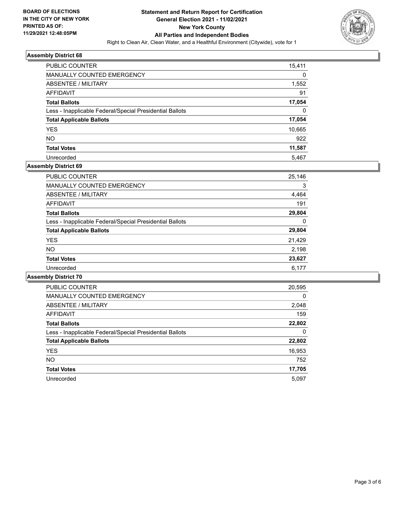

| <b>PUBLIC COUNTER</b>                                    | 15,411 |
|----------------------------------------------------------|--------|
| <b>MANUALLY COUNTED EMERGENCY</b>                        | 0      |
| ABSENTEE / MILITARY                                      | 1,552  |
| AFFIDAVIT                                                | 91     |
| <b>Total Ballots</b>                                     | 17,054 |
| Less - Inapplicable Federal/Special Presidential Ballots | 0      |
| <b>Total Applicable Ballots</b>                          | 17,054 |
| <b>YES</b>                                               | 10,665 |
| NO.                                                      | 922    |
| <b>Total Votes</b>                                       | 11,587 |
| Unrecorded                                               | 5.467  |

## **Assembly District 69**

| <b>PUBLIC COUNTER</b>                                    | 25,146 |
|----------------------------------------------------------|--------|
| <b>MANUALLY COUNTED EMERGENCY</b>                        | 3      |
| ABSENTEE / MILITARY                                      | 4,464  |
| AFFIDAVIT                                                | 191    |
| <b>Total Ballots</b>                                     | 29,804 |
| Less - Inapplicable Federal/Special Presidential Ballots | 0      |
| <b>Total Applicable Ballots</b>                          | 29,804 |
| <b>YES</b>                                               | 21,429 |
| <b>NO</b>                                                | 2,198  |
| <b>Total Votes</b>                                       | 23,627 |
| Unrecorded                                               | 6.177  |

| <b>PUBLIC COUNTER</b>                                    | 20,595   |
|----------------------------------------------------------|----------|
| <b>MANUALLY COUNTED EMERGENCY</b>                        | $\Omega$ |
| ABSENTEE / MILITARY                                      | 2,048    |
| <b>AFFIDAVIT</b>                                         | 159      |
| <b>Total Ballots</b>                                     | 22,802   |
| Less - Inapplicable Federal/Special Presidential Ballots | 0        |
| <b>Total Applicable Ballots</b>                          | 22,802   |
| <b>YES</b>                                               | 16,953   |
| <b>NO</b>                                                | 752      |
| <b>Total Votes</b>                                       | 17,705   |
| Unrecorded                                               | 5.097    |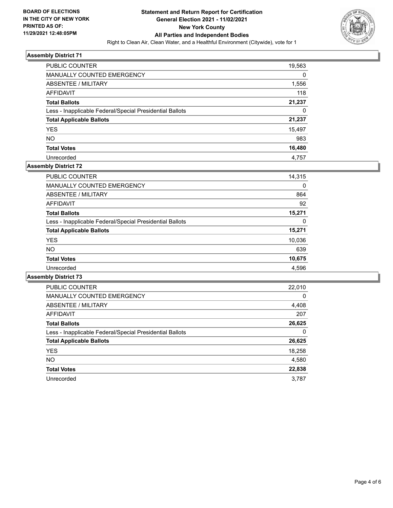

| PUBLIC COUNTER                                           | 19,563 |
|----------------------------------------------------------|--------|
| <b>MANUALLY COUNTED EMERGENCY</b>                        | 0      |
| ABSENTEE / MILITARY                                      | 1,556  |
| AFFIDAVIT                                                | 118    |
| <b>Total Ballots</b>                                     | 21,237 |
| Less - Inapplicable Federal/Special Presidential Ballots | 0      |
| <b>Total Applicable Ballots</b>                          | 21,237 |
| <b>YES</b>                                               | 15,497 |
| NO.                                                      | 983    |
| <b>Total Votes</b>                                       | 16,480 |
| Unrecorded                                               | 4.757  |

## **Assembly District 72**

| <b>PUBLIC COUNTER</b>                                    | 14,315 |
|----------------------------------------------------------|--------|
| <b>MANUALLY COUNTED EMERGENCY</b>                        | 0      |
| ABSENTEE / MILITARY                                      | 864    |
| <b>AFFIDAVIT</b>                                         | 92     |
| <b>Total Ballots</b>                                     | 15,271 |
| Less - Inapplicable Federal/Special Presidential Ballots | 0      |
| <b>Total Applicable Ballots</b>                          | 15,271 |
| <b>YES</b>                                               | 10,036 |
| NO.                                                      | 639    |
| <b>Total Votes</b>                                       | 10,675 |
| Unrecorded                                               | 4.596  |

| <b>PUBLIC COUNTER</b>                                    | 22,010   |
|----------------------------------------------------------|----------|
| <b>MANUALLY COUNTED EMERGENCY</b>                        | $\Omega$ |
| ABSENTEE / MILITARY                                      | 4,408    |
| <b>AFFIDAVIT</b>                                         | 207      |
| <b>Total Ballots</b>                                     | 26,625   |
| Less - Inapplicable Federal/Special Presidential Ballots | 0        |
| <b>Total Applicable Ballots</b>                          | 26,625   |
| <b>YES</b>                                               | 18,258   |
| <b>NO</b>                                                | 4,580    |
| <b>Total Votes</b>                                       | 22,838   |
| Unrecorded                                               | 3.787    |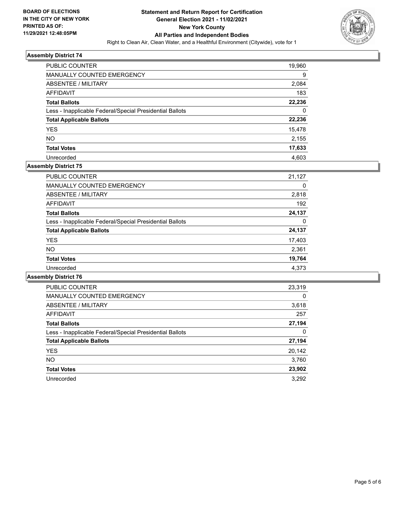

| PUBLIC COUNTER                                           | 19,960 |
|----------------------------------------------------------|--------|
| <b>MANUALLY COUNTED EMERGENCY</b>                        | 9      |
| ABSENTEE / MILITARY                                      | 2,084  |
| AFFIDAVIT                                                | 183    |
| <b>Total Ballots</b>                                     | 22,236 |
| Less - Inapplicable Federal/Special Presidential Ballots | 0      |
| <b>Total Applicable Ballots</b>                          | 22,236 |
| <b>YES</b>                                               | 15,478 |
| <b>NO</b>                                                | 2,155  |
| <b>Total Votes</b>                                       | 17,633 |
| Unrecorded                                               | 4.603  |

## **Assembly District 75**

| <b>PUBLIC COUNTER</b>                                    | 21,127 |
|----------------------------------------------------------|--------|
| <b>MANUALLY COUNTED EMERGENCY</b>                        | 0      |
| ABSENTEE / MILITARY                                      | 2,818  |
| AFFIDAVIT                                                | 192    |
| <b>Total Ballots</b>                                     | 24,137 |
| Less - Inapplicable Federal/Special Presidential Ballots | 0      |
| <b>Total Applicable Ballots</b>                          | 24,137 |
| <b>YES</b>                                               | 17,403 |
| NO.                                                      | 2,361  |
| <b>Total Votes</b>                                       | 19,764 |
| Unrecorded                                               | 4.373  |

| <b>PUBLIC COUNTER</b>                                    | 23,319   |
|----------------------------------------------------------|----------|
| <b>MANUALLY COUNTED EMERGENCY</b>                        | $\Omega$ |
| ABSENTEE / MILITARY                                      | 3,618    |
| AFFIDAVIT                                                | 257      |
| <b>Total Ballots</b>                                     | 27,194   |
| Less - Inapplicable Federal/Special Presidential Ballots | 0        |
| <b>Total Applicable Ballots</b>                          | 27,194   |
| <b>YES</b>                                               | 20,142   |
| <b>NO</b>                                                | 3,760    |
| <b>Total Votes</b>                                       | 23,902   |
| Unrecorded                                               | 3.292    |